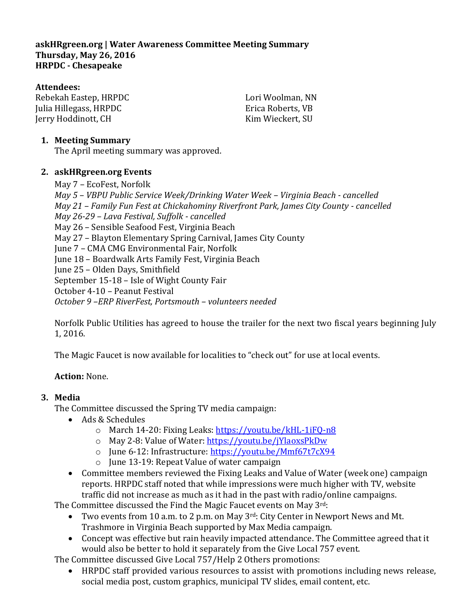**askHRgreen.org | Water Awareness Committee Meeting Summary Thursday, May 26, 2016 HRPDC - Chesapeake**

#### **Attendees:**

Rebekah Eastep, HRPDC Julia Hillegass, HRPDC Jerry Hoddinott, CH

Lori Woolman, NN Erica Roberts, VB Kim Wieckert, SU

#### **1. Meeting Summary**

The April meeting summary was approved.

### **2. askHRgreen.org Events**

May 7 – EcoFest, Norfolk *May 5 – VBPU Public Service Week/Drinking Water Week – Virginia Beach - cancelled May 21 – Family Fun Fest at Chickahominy Riverfront Park, James City County - cancelled May 26-29 – Lava Festival, Suffolk - cancelled* May 26 – Sensible Seafood Fest, Virginia Beach May 27 – Blayton Elementary Spring Carnival, James City County June 7 – CMA CMG Environmental Fair, Norfolk June 18 – Boardwalk Arts Family Fest, Virginia Beach June 25 – Olden Days, Smithfield September 15-18 – Isle of Wight County Fair October 4-10 – Peanut Festival *October 9 –ERP RiverFest, Portsmouth – volunteers needed*

Norfolk Public Utilities has agreed to house the trailer for the next two fiscal years beginning July 1, 2016.

The Magic Faucet is now available for localities to "check out" for use at local events.

# **Action:** None.

# **3. Media**

The Committee discussed the Spring TV media campaign:

- Ads & Schedules
	- o March 14-20: Fixing Leaks:<https://youtu.be/kHL-1iFQ-n8>
	- o May 2-8: Value of Water:<https://youtu.be/jYlaoxsPkDw>
	- o June 6-12: Infrastructure[: https://youtu.be/Mmf67t7cX94](https://youtu.be/Mmf67t7cX94)
	- o June 13-19: Repeat Value of water campaign
- Committee members reviewed the Fixing Leaks and Value of Water (week one) campaign reports. HRPDC staff noted that while impressions were much higher with TV, website traffic did not increase as much as it had in the past with radio/online campaigns.

The Committee discussed the Find the Magic Faucet events on May 3rd:

- Two events from 10 a.m. to 2 p.m. on May  $3<sup>rd</sup>$ : City Center in Newport News and Mt. Trashmore in Virginia Beach supported by Max Media campaign.
- Concept was effective but rain heavily impacted attendance. The Committee agreed that it would also be better to hold it separately from the Give Local 757 event.

The Committee discussed Give Local 757/Help 2 Others promotions:

 HRPDC staff provided various resources to assist with promotions including news release, social media post, custom graphics, municipal TV slides, email content, etc.